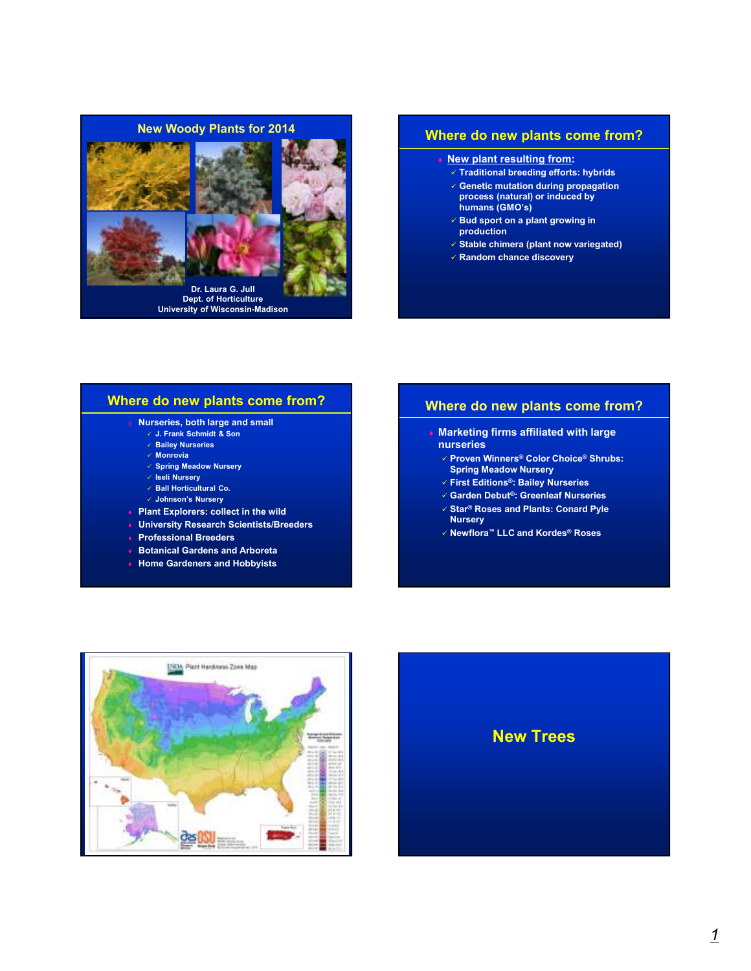

### **Where do new plants come from?**

- ♦ **New plant resulting from:**
	- **Traditional breeding efforts: hybrids Genetic mutation during propagation process (natural) or induced by**
	- **humans (GMO's) Bud sport on a plant growing in**
	- **production**
	- **Stable chimera (plant now variegated)**
	- **Random chance discovery**

## **Where do new plants come from?**

- **Nurseries, both large and small**
- **J. Frank Schmidt & Son**
- **Bailey Nurseries**
- **Monrovia**
- **Spring Meadow Nursery**
- **Iseli Nursery**
- **Ball Horticultural Co.**
- **Johnson's Nursery**
- ♦ **Plant Explorers: collect in the wild**
- ♦ **University Research Scientists/Breeders**
- ♦ **Professional Breeders**
- **Botanical Gardens and Arboreta**
- ♦ **Home Gardeners and Hobbyists**

# **Where do new plants come from?**

- ♦ **Marketing firms affiliated with large nurseries**
	- **Proven Winners® Color Choice® Shrubs: Spring Meadow Nursery**
	- **First Editions®: Bailey Nurseries**
	- **Garden Debut®: Greenleaf Nurseries Star® Roses and Plants: Conard Pyle**
	- **Nursery**
	- **Newflora™ LLC and Kordes® Roses**



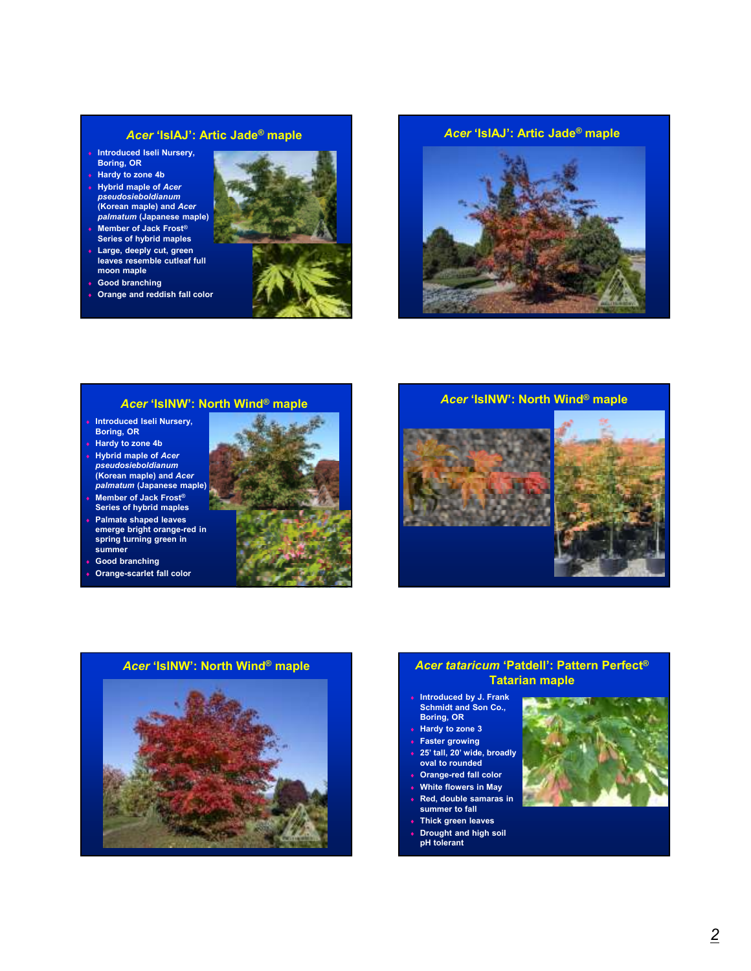# *Acer* **'IsIAJ': Artic Jade® maple**

- ♦ **Introduced Iseli Nursery, Boring, OR**
- ♦ **Hardy to zone 4b** ♦ **Hybrid maple of** *Acer pseudosieboldianum*  **(Korean maple) and** *Acer palmatum* **(Japanese maple)**
- ♦ **Member of Jack Frost® Series of hybrid maples**
- ♦ **Large, deeply cut, green leaves resemble cutleaf full moon maple**
- ♦ **Good branching**
- ♦ **Orange and reddish fall color**





# *Acer* **'IsINW': North Wind® maple**

- **Introduced Iseli Nursery, Boring, OR**
- **Hardy to zone 4b**
- ♦ **Hybrid maple of** *Acer pseudosieboldianum*  **(Korean maple) and** *Acer palmatum* **(Japanese maple)**
- ♦ **Member of Jack Frost® Series of hybrid maples**
- ♦ **Palmate shaped leaves emerge bright orange-red in spring turning green in summer**
- **Good branching**
- **Orange-scarlet fall color**





# **Tatarian maple**

- ♦ **Introduced by J. Frank Schmidt and Son Co., Boring, OR**
- **Hardy to zone 3**
- **Faster growing** 25' tall, 20' wide, broadly
- **oval to rounded Orange-red fall color**
- **White flowers in May**
- **Red, double samaras in summer to fall**
- **Thick green leaves**
- ♦ **Drought and high soil pH tolerant**

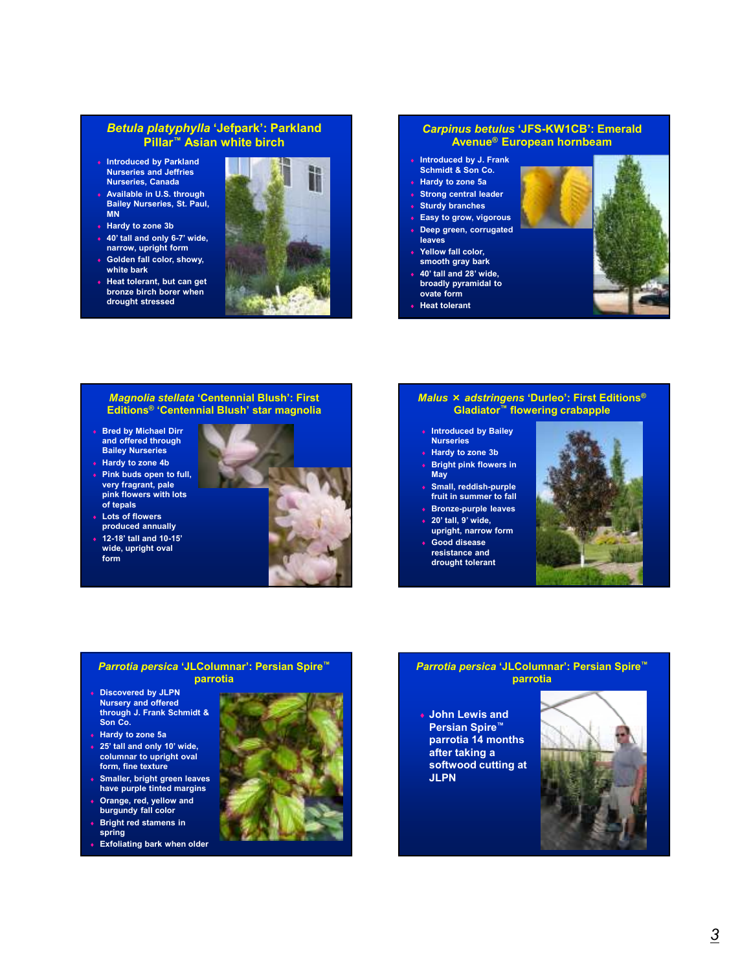### *Betula platyphylla* **'Jefpark': Parkland Pillar™ Asian white birch**

- ♦ **Introduced by Parkland Nurseries and Jeffries Nurseries, Canada**
- Available in U.S. through **Bailey Nurseries, St. Paul, MN**
- **Hardy to zone 3b**
- ♦ **40' tall and only 6-7' wide, narrow, upright form**
- **Golden fall color, showy, white bark Heat tolerant, but can get**
- **bronze birch borer when drought stressed**



#### *Carpinus betulus* **'JFS-KW1CB': Emerald Avenue® European hornbeam**

- ♦ **Introduced by J. Frank**
- **Schmidt & Son Co.** ♦ **Hardy to zone 5a**
- **Strong central leader**
- **Sturdy branches**
- **Easy to grow, vigorous**
- **Deep green, corrugated leaves**
- Yellow fall color,
- **smooth gray bark** ♦ **40' tall and 28' wide,**
- **broadly pyramidal to ovate form**
- **Heat tolerant**



#### *Magnolia stellata* **'Centennial Blush': First Editions® 'Centennial Blush' star magnolia**

- ♦ **Bred by Michael Dirr and offered through Bailey Nurseries**
- ♦ **Hardy to zone 4b** ♦ **Pink buds open to full, very fragrant, pale pink flowers with lots**



♦ **12-18' tall and 10-15' wide, upright oval form**



#### *Malus* × *adstringens* **'Durleo': First Editions® Gladiator™ flowering crabapple**

- ♦ **Introduced by Bailey Nurseries**
- **Hardy to zone 3b**
- **Bright pink flowers in May**
- ♦ **Small, reddish-purple fruit in summer to fall**
- ♦ **Bronze-purple leaves** ♦ **20' tall, 9' wide,**
- **upright, narrow form** Good disease
- **resistance and drought tolerant**



#### *Parrotia persica* **'JLColumnar': Persian Spire™ parrotia**

- ♦ **Discovered by JLPN Nursery and offered through J. Frank Schmidt & Son Co.**
- ♦ **Hardy to zone 5a**
- ♦ **25' tall and only 10' wide, columnar to upright oval form, fine texture**
- ♦ **Smaller, bright green leaves have purple tinted margins** ♦ **Orange, red, yellow and**
- **burgundy fall color Bright red stamens in**
- **spring**
- **Exfoliating bark when older**



#### *Parrotia persica* **'JLColumnar': Persian Spire™ parrotia**

♦ **John Lewis and Persian Spire™ parrotia 14 months after taking a softwood cutting at JLPN**

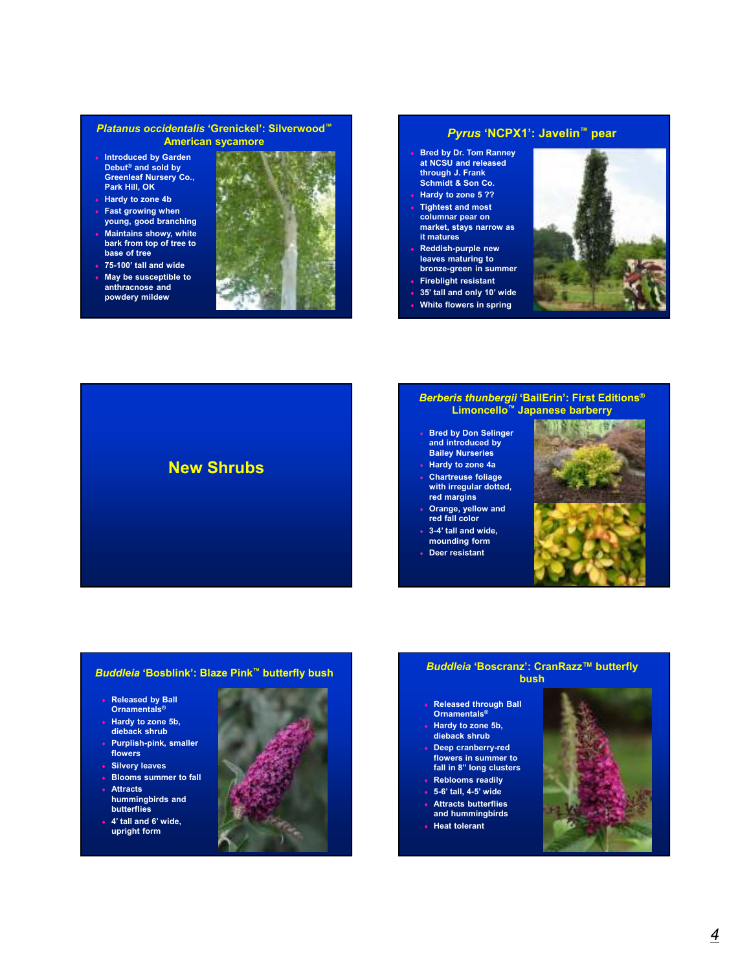#### *Platanus occidentalis* **'Grenickel': Silverwood™ American sycamore**

- ♦ **Introduced by Garden Debut® and sold by Greenleaf Nursery Co., Park Hill, OK**
- ♦ **Hardy to zone 4b**
- **Fast growing when young, good branching**
- **Maintains showy, white bark from top of tree to base of tree**
- ♦ **75-100' tall and wide**
- **May be susceptible to anthracnose and powdery mildew**



#### *Pyrus* **'NCPX1': Javelin™ pear**

- ♦ **Bred by Dr. Tom Ranney at NCSU and released through J. Frank Schmidt & Son Co.**
- ♦ **Hardy to zone 5 ?? Tightest and most columnar pear on market, stays narrow as it matures**
- **Reddish-purple new leaves maturing to bronze-green in summer**
- ♦ **Fireblight resistant**
- 35' tall and only 10' wide
- **White flowers in spring**





#### *Berberis thunbergii* **'BailErin': First Editions® Limoncello™ Japanese barberry**

- ♦ **Bred by Don Selinger and introduced by Bailey Nurseries**
- ♦ **Hardy to zone 4a** ♦ **Chartreuse foliage**
- **with irregular dotted, red margins**
- ♦ **Orange, yellow and red fall color** 3-4' tall and wide,
- **mounding form**
- ♦ **Deer resistant**





#### *Buddleia* **'Bosblink': Blaze Pink™ butterfly bush**

- ♦ **Released by Ball Ornamentals®**
- ♦ **Hardy to zone 5b, dieback shrub**
- ♦ **Purplish-pink, smaller flowers**
- ♦ **Silvery leaves**
- ♦ **Blooms summer to fall**
- ♦ **Attracts hummingbirds and**
- **butterflies** ♦ **4' tall and 6' wide,**
- **upright form**



#### *Buddleia* **'Boscranz': CranRazz™ butterfly bush**

- ♦ **Released through Ball Ornamentals®**
- ♦ **Hardy to zone 5b, dieback shrub** ♦ **Deep cranberry-red**
- **flowers in summer to fall in 8" long clusters**
- ♦ **Reblooms readily**
- ♦ **5-6' tall, 4-5' wide** ♦ **Attracts butterflies**
- **and hummingbirds**
- ♦ **Heat tolerant**

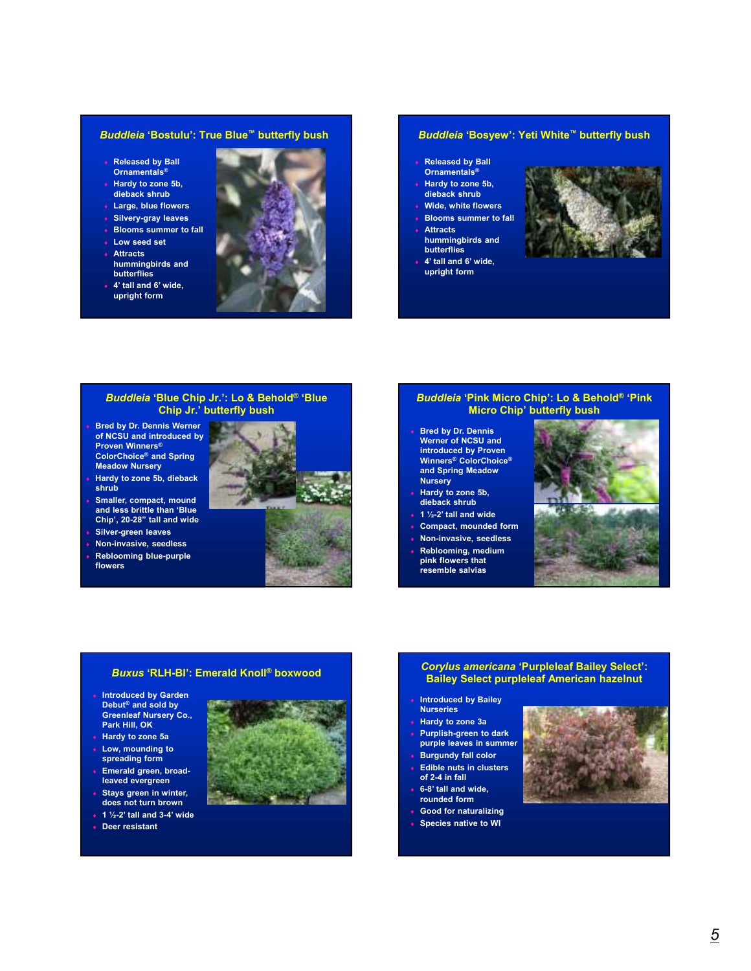#### *Buddleia* **'Bostulu': True Blue™ butterfly bush**

- **Released by Ball Ornamentals®**
- ♦ **Hardy to zone 5b, dieback shrub**
- ♦ **Large, blue flowers**
- ♦ **Silvery-gray leaves**
- ♦ **Blooms summer to fall**
- ♦ **Low seed set**
- ♦ **Attracts hummingbirds and**
- **butterflies** ♦ **4' tall and 6' wide,**
- **upright form**



#### *Buddleia* **'Bosyew': Yeti White™ butterfly bush**

- **Released by Ball Ornamentals®**
- **Hardy to zone 5b, dieback shrub**
- **Wide, white flowers**
- **Blooms summer to fall**
- ♦ **Attracts hummingbirds and butterflies**
- ♦ **4' tall and 6' wide, upright form**



#### *Buddleia* **'Blue Chip Jr.': Lo & Behold® 'Blue Chip Jr.' butterfly bush**

- **Bred by Dr. Dennis Werner of NCSU and introduced by Proven Winners® ColorChoice® and Spring Meadow Nursery**
- **Hardy to zone 5b, dieback shrub**
- **Smaller, compact, mound and less brittle than 'Blue Chip', 20-28" tall and wide**
- **Silver-green leaves**
- ♦ **Non-invasive, seedless Reblooming blue-purple flowers**



# *Buddleia* **'Pink Micro Chip': Lo & Behold® 'Pink Micro Chip' butterfly bush**

- **Bred by Dr. Dennis Werner of NCSU and introduced by Proven Winners® ColorChoice® and Spring Meadow Nursery**
- **Hardy to zone 5b, dieback shrub**
- ♦ **1 ½-2' tall and wide**
- Compact, mounded form
- ♦ **Non-invasive, seedless Reblooming, medium**
- **pink flowers that resemble salvias**



#### *Buxus* **'RLH-BI': Emerald Knoll® boxwood**

- ♦ **Introduced by Garden Debut® and sold by Greenleaf Nursery Co., Park Hill, OK**
- **Hardy to zone 5a** ♦ **Low, mounding to**
- **spreading form** ♦ **Emerald green, broad-**
- **leaved evergreen** ♦ **Stays green in winter,**
- **does not turn brown** ♦ **1 ½-2' tall and 3-4' wide**
- ♦ **Deer resistant**



#### *Corylus americana* **'Purpleleaf Bailey Select': Bailey Select purpleleaf American hazelnut**

- **Introduced by Bailey Nurseries**
- **Hardy to zone 3a Purplish-green to dark**
- **purple leaves in summer Burgundy fall color**
- **Edible nuts in clusters**
- **of 2-4 in fall** ♦ **6-8' tall and wide,**
- **rounded form** ♦ **Good for naturalizing**
- **Species native to WI**
- 

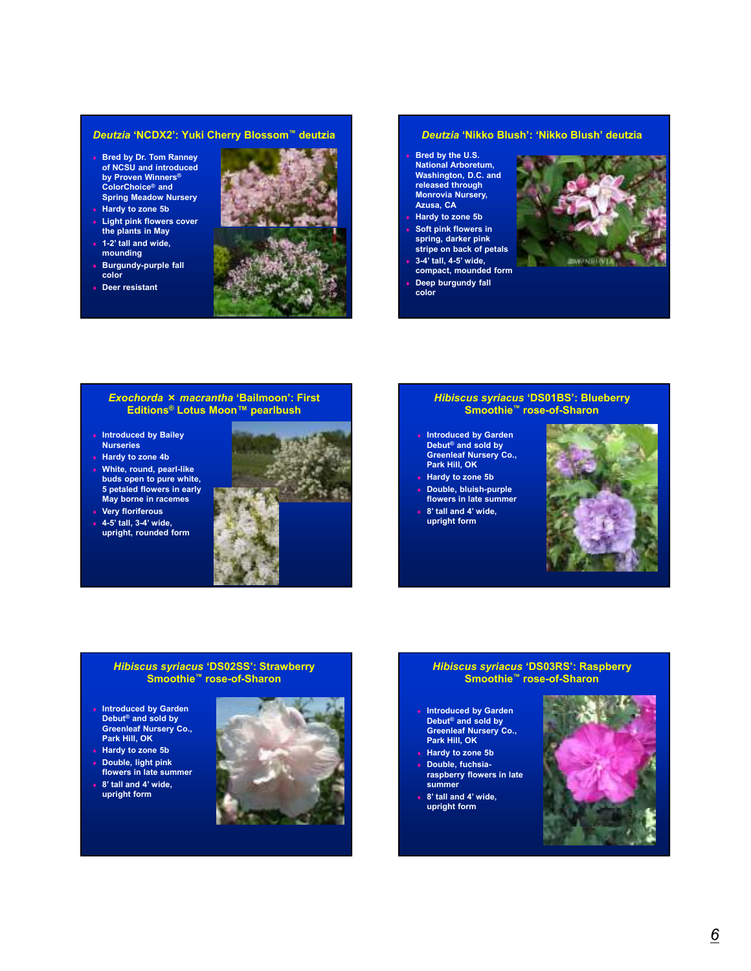#### *Deutzia* **'NCDX2': Yuki Cherry Blossom™ deutzia**

- ♦ **Bred by Dr. Tom Ranney of NCSU and introduced by Proven Winners® ColorChoice® and Spring Meadow Nursery**
- ♦ **Hardy to zone 5b**
- ♦ **Light pink flowers cover the plants in May**
- ♦ **1-2' tall and wide, mounding**
- ♦ **Burgundy-purple fall color**
- ♦ **Deer resistant**



#### *Deutzia* **'Nikko Blush': 'Nikko Blush' deutzia**

- **Bred by the U.S. National Arboretum, Washington, D.C. and released through Monrovia Nursery, Azusa, CA**
- **Hardy to zone 5b Soft pink flowers in**
- **spring, darker pink stripe on back of petals**
- ♦ **3-4' tall, 4-5' wide, compact, mounded form**
- **Deep burgundy fall color**



#### *Exochorda* × *macrantha* **'Bailmoon': First Editions® Lotus Moon™ pearlbush**

- ♦ **Introduced by Bailey Nurseries**
- ♦ **Hardy to zone 4b**
- ♦ **White, round, pearl-like buds open to pure white, 5 petaled flowers in early May borne in racemes**



♦ **4-5' tall, 3-4' wide, upright, rounded form**



#### *Hibiscus syriacus* **'DS01BS': Blueberry Smoothie™ rose-of-Sharon**

- **Introduced by Garden Debut® and sold by Greenleaf Nursery Co., Park Hill, OK**
- ♦ **Hardy to zone 5b**
- Double, bluish-purple **flowers in late summer**
- 8' tall and 4' wide, **upright form**



#### *Hibiscus syriacus* **'DS02SS': Strawberry Smoothie™ rose-of-Sharon**

- ♦ **Introduced by Garden Debut® and sold by Greenleaf Nursery Co., Park Hill, OK**
- ♦ **Hardy to zone 5b**
- ♦ **Double, light pink flowers in late summer**
- ♦ **8' tall and 4' wide, upright form**



#### *Hibiscus syriacus* **'DS03RS': Raspberry Smoothie™ rose-of-Sharon**

- **Introduced by Garden Debut® and sold by Greenleaf Nursery Co., Park Hill, OK**
- ♦ **Hardy to zone 5b**
- ♦ **Double, fuchsiaraspberry flowers in late summer**
- 8' tall and 4' wide, **upright form**

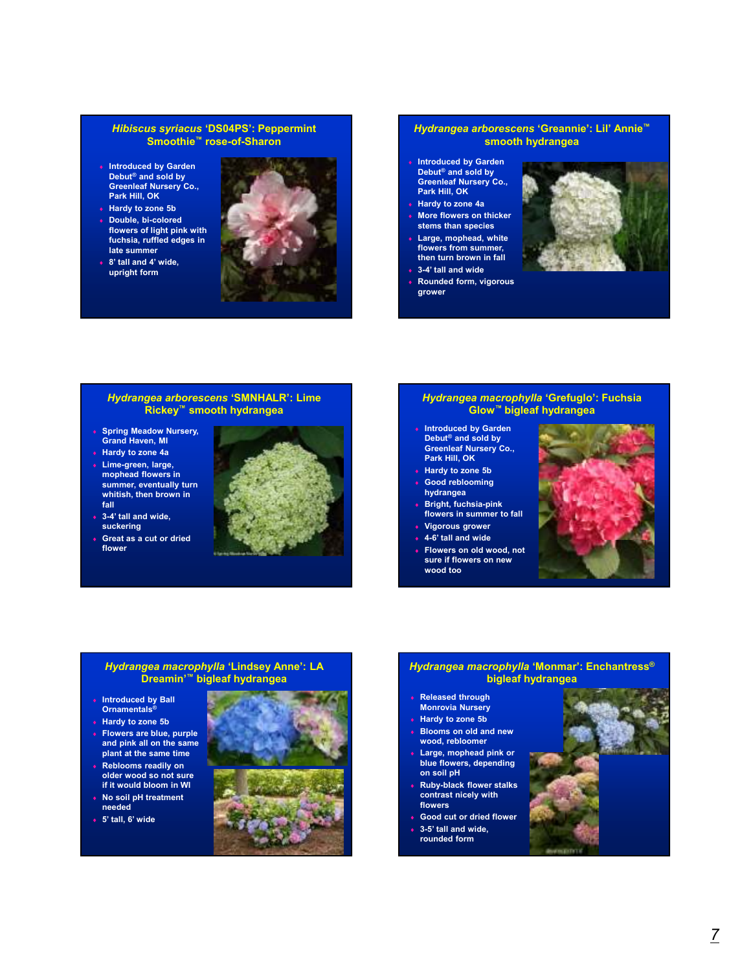#### *Hibiscus syriacus* **'DS04PS': Peppermint Smoothie™ rose-of-Sharon**

- ♦ **Introduced by Garden Debut® and sold by Greenleaf Nursery Co., Park Hill, OK**
- ♦ **Hardy to zone 5b**
- Double, bi-colored **flowers of light pink with fuchsia, ruffled edges in late summer**
- 8' tall and 4' wide, **upright form**



#### *Hydrangea arborescens* **'Greannie': Lil' Annie™ smooth hydrangea**

- **Introduced by Garden Debut® and sold by Greenleaf Nursery Co., Park Hill, OK**
- ♦ **Hardy to zone 4a**
- **More flowers on thicker stems than species**
- Large, mophead, white **flowers from summer, then turn brown in fall**
- 3-4' tall and wide
- ♦ **Rounded form, vigorous grower**



#### *Hydrangea arborescens* **'SMNHALR': Lime Rickey™ smooth hydrangea**

- ♦ **Spring Meadow Nursery, Grand Haven, MI**
- ♦ **Hardy to zone 4a**
- Lime-green, large, **mophead flowers in summer, eventually turn whitish, then brown in fall**
- ♦ **3-4' tall and wide, suckering**
- ♦ **Great as a cut or dried flower**



#### *Hydrangea macrophylla* **'Grefuglo': Fuchsia Glow™ bigleaf hydrangea**

- **Introduced by Garden Debut® and sold by Greenleaf Nursery Co.,**
- **Park Hill, OK** ♦ **Hardy to zone 5b**
- **Good reblooming hydrangea**
- ♦ **Bright, fuchsia-pink flowers in summer to fall**
- **Vigorous grower**
- ♦ **4-6' tall and wide**
- **Flowers on old wood, not sure if flowers on new wood too**



#### *Hydrangea macrophylla* **'Lindsey Anne': LA Dreamin'™ bigleaf hydrangea**

- ♦ **Introduced by Ball Ornamentals®**
- ♦ **Hardy to zone 5b**
- ♦ **Flowers are blue, purple and pink all on the same plant at the same time** ♦ **Reblooms readily on**
- **older wood so not sure if it would bloom in WI** ♦ **No soil pH treatment**
- **needed** ♦ **5' tall, 6' wide**



#### *Hydrangea macrophylla* **'Monmar': Enchantress® bigleaf hydrangea**

- **Released through Monrovia Nursery**
- **Hardy to zone 5b**
- **Blooms on old and new wood, rebloomer**
- Large, mophead pink or **blue flowers, depending on soil pH**
- **Ruby-black flower stalks contrast nicely with flowers**
- **Good cut or dried flower** 3-5' tall and wide,
	- **rounded form**

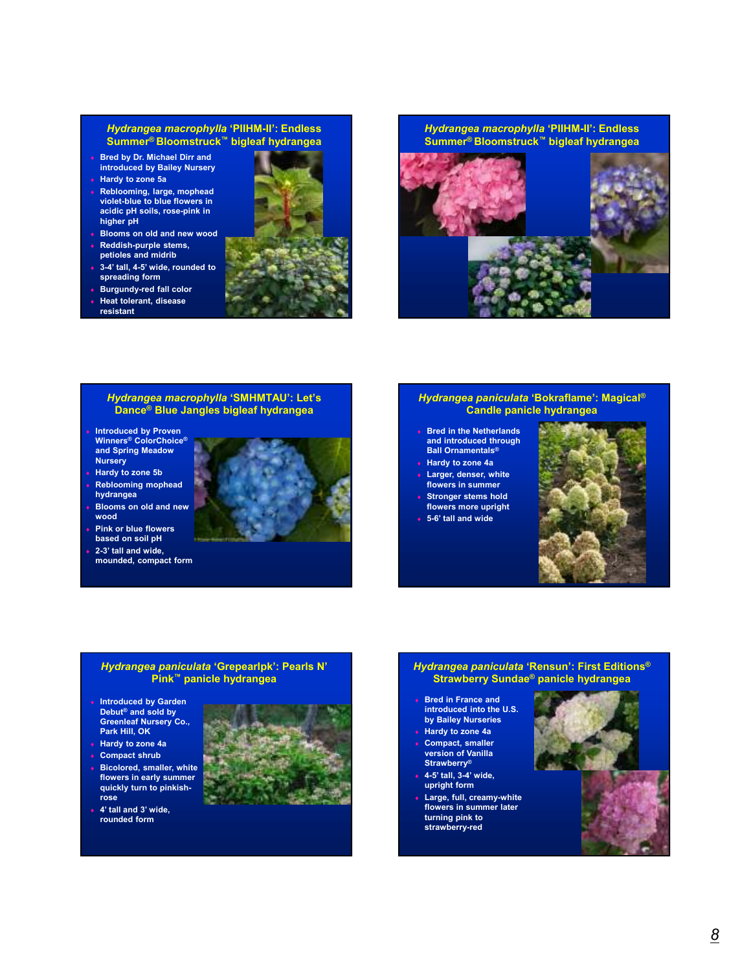#### *Hydrangea macrophylla* **'PIIHM-II': Endless Summer® Bloomstruck™ bigleaf hydrangea**

- ♦ **Bred by Dr. Michael Dirr and introduced by Bailey Nursery**
- ♦ **Hardy to zone 5a**
- ♦ **Reblooming, large, mophead violet-blue to blue flowers in acidic pH soils, rose-pink in higher pH**
- **Blooms on old and new wood**
- **Reddish-purple stems, petioles and midrib**
- ♦ **3-4' tall, 4-5' wide, rounded to spreading form**
- ♦ **Burgundy-red fall color Heat tolerant, disease resistant**





#### *Hydrangea macrophylla* **'SMHMTAU': Let's Dance® Blue Jangles bigleaf hydrangea**

- **Introduced by Proven Winners® ColorChoice® and Spring Meadow Nursery**
- **Hardy to zone 5b**
- **Reblooming mophead hydrangea**
- **Blooms on old and new wood**
- **Pink or blue flowers based on soil pH**
- 2-3' tall and wide, **mounded, compact form**

# *Hydrangea paniculata* **'Bokraflame': Magical® Candle panicle hydrangea**

- ♦ **Bred in the Netherlands and introduced through Ball Ornamentals®**
- ♦ **Hardy to zone 4a**
- ♦ **Larger, denser, white flowers in summer**
- **Stronger stems hold flowers more upright**
- ♦ **5-6' tall and wide**



#### *Hydrangea paniculata* **'Grepearlpk': Pearls N' Pink™ panicle hydrangea**

- ♦ **Introduced by Garden Debut® and sold by Greenleaf Nursery Co., Park Hill, OK**
- ♦ **Hardy to zone 4a**
- ♦ **Compact shrub**
- **Bicolored, smaller, white flowers in early summer quickly turn to pinkishrose**
- ♦ **4' tall and 3' wide, rounded form**



# *Hydrangea paniculata* **'Rensun': First Editions® Strawberry Sundae® panicle hydrangea**

- **Bred in France and introduced into the U.S. by Bailey Nurseries**
- ♦ **Hardy to zone 4a**
- Compact, smaller **version of Vanilla Strawberry®**
- ♦ **4-5' tall, 3-4' wide, upright form**
- Large, full, creamy-white **flowers in summer later turning pink to strawberry-red**

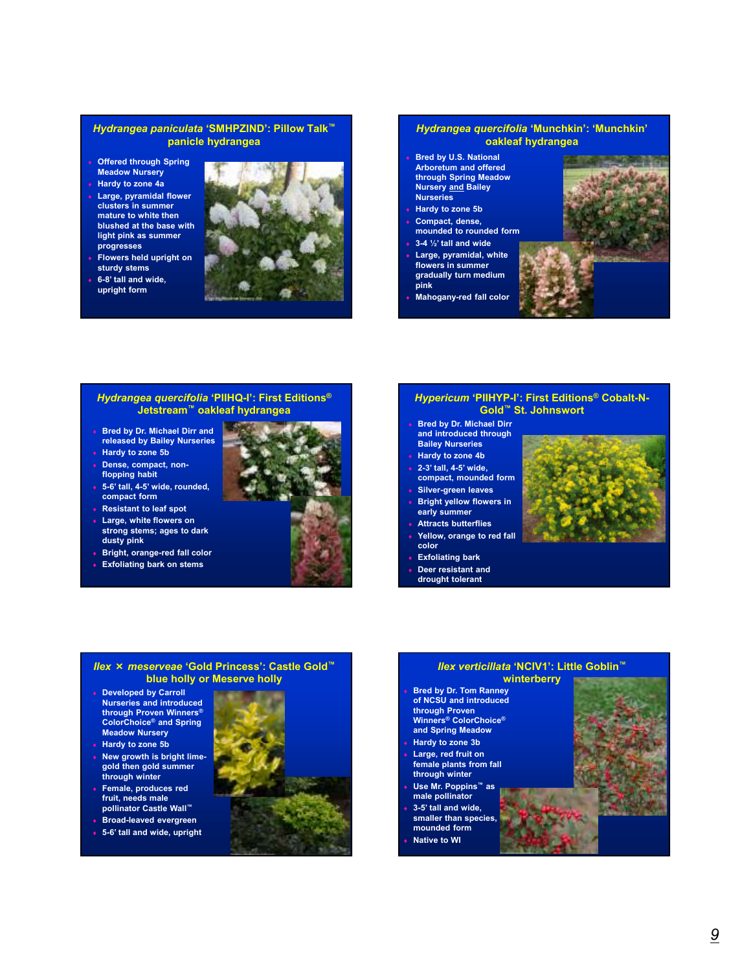#### *Hydrangea paniculata* **'SMHPZIND': Pillow Talk™ panicle hydrangea**

- ♦ **Offered through Spring Meadow Nursery**
- ♦ **Hardy to zone 4a**
- **Large, pyramidal flower clusters in summer mature to white then blushed at the base with light pink as summer progresses**
- **Flowers held upright on sturdy stems**
- ♦ **6-8' tall and wide, upright form**



#### *Hydrangea quercifolia* **'Munchkin': 'Munchkin' oakleaf hydrangea**

- **Bred by U.S. National Arboretum and offered through Spring Meadow Nursery and Bailey Nurseries**
- ♦ **Hardy to zone 5b**
- Compact, dense, **mounded to rounded form**
- ♦ **3-4 ½' tall and wide**
- Large, pyramidal, white **flowers in summer gradually turn medium pink**
- **Mahogany-red fall color**



#### *Hydrangea quercifolia* **'PIIHQ-I': First Editions® Jetstream™ oakleaf hydrangea**

- ♦ **Bred by Dr. Michael Dirr and released by Bailey Nurseries**
- **Hardy to zone 5b**
- Dense, compact, non**flopping habit**
- ♦ **5-6' tall, 4-5' wide, rounded, compact form**
- ♦ **Resistant to leaf spot**
- ♦ **Large, white flowers on strong stems; ages to dark dusty pink**
- ♦ **Bright, orange-red fall color**
- ♦ **Exfoliating bark on stems**



#### *Hypericum* **'PIIHYP-I': First Editions® Cobalt-N-Gold™ St. Johnswort**

- ♦ **Bred by Dr. Michael Dirr and introduced through Bailey Nurseries**
- **Hardy to zone 4b**
- ♦ **2-3' tall, 4-5' wide,**
- **compact, mounded form Silver-green leaves**
- **Bright yellow flowers in early summer**
- **Attracts butterflies**
- Yellow, orange to red fall **color**
- ♦ **Exfoliating bark**
- **Deer resistant and**
- **drought tolerant**



#### *Ilex* × *meserveae* **'Gold Princess': Castle Gold™ blue holly or Meserve holly**

- ♦ **Developed by Carroll Nurseries and introduced through Proven Winners® ColorChoice® and Spring Meadow Nursery Hardy to zone 5b**
- ♦ **New growth is bright limegold then gold summer through winter**
- Female, produces red **fruit, needs male pollinator Castle Wall™**
- ♦ **Broad-leaved evergreen** ♦ **5-6' tall and wide, upright**



#### **winterberry** ♦ **Bred by Dr. Tom Ranney of NCSU and introduced through Proven Winners® ColorChoice® and Spring Meadow Hardy to zone 3b**

*Ilex verticillata* **'NCIV1': Little Goblin™**

Large, red fruit on **female plants from fall through winter** ♦ **Use Mr. Poppins™ as** 

**male pollinator**

- ♦ **3-5' tall and wide,**
- **smaller than species,**
- **mounded form**
- **Native to WI**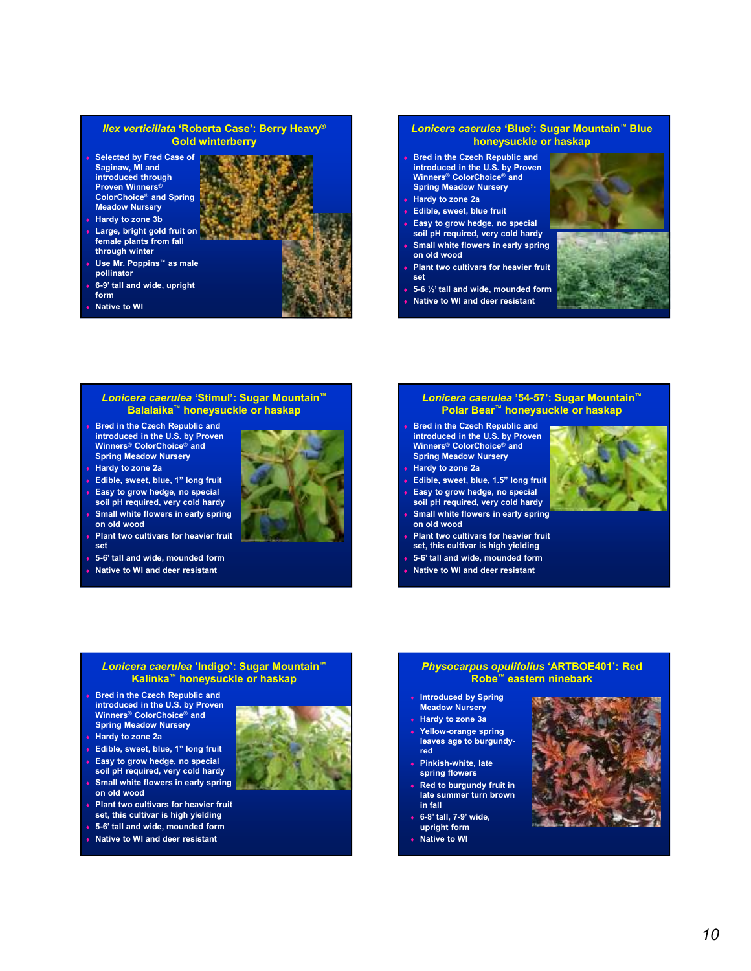#### *Ilex verticillata* **'Roberta Case': Berry Heavy® Gold winterberry**

- ♦ **Selected by Fred Case of Saginaw, MI and introduced through Proven Winners® ColorChoice® and Spring Meadow Nursery**
- **Hardy to zone 3b**
- Large, bright gold fruit on **female plants from fall through winter**
- ♦ **Use Mr. Poppins™ as male pollinator**
- ♦ **6-9' tall and wide, upright form**
- **Native to WI**

#### *Lonicera caerulea* **'Blue': Sugar Mountain™ Blue honeysuckle or haskap**

- **Bred in the Czech Republic and introduced in the U.S. by Proven Winners® ColorChoice® and Spring Meadow Nursery**
- ♦ **Hardy to zone 2a**
- **Edible, sweet, blue fruit**
- Easy to grow hedge, no special **soil pH required, very cold hardy Small white flowers in early spring**
- **on old wood Plant two cultivars for heavier fruit**
- **set** ♦ **5-6 ½' tall and wide, mounded form**
- **Native to WI and deer resistant**





#### *Lonicera caerulea* **'Stimul': Sugar Mountain™ Balalaika™ honeysuckle or haskap**

- **Bred in the Czech Republic and introduced in the U.S. by Proven Winners® ColorChoice® and Spring Meadow Nursery**
- **Hardy to zone 2a**
- Edible, sweet, blue, 1" long fruit
- Easy to grow hedge, no special **soil pH required, very cold hardy**
- **Small white flowers in early spring on old wood**
- **Plant two cultivars for heavier fruit set**
- ♦ **5-6' tall and wide, mounded form**
- **Native to WI and deer resistant**

#### *Lonicera caerulea* **'54-57': Sugar Mountain™ Polar Bear™ honeysuckle or haskap**

- **Bred in the Czech Republic and introduced in the U.S. by Proven Winners® ColorChoice® and Spring Meadow Nursery**
- ♦ **Hardy to zone 2a**
- Edible, sweet, blue, 1.5" long fruit
- Easy to grow hedge, no special **soil pH required, very cold hardy Small white flowers in early spring on old wood**
- **Plant two cultivars for heavier fruit set, this cultivar is high yielding**
- ♦ **5-6' tall and wide, mounded form**
- **Native to WI and deer resistant**



#### *Lonicera caerulea* **'Indigo': Sugar Mountain™ Kalinka™ honeysuckle or haskap**

- **Bred in the Czech Republic and introduced in the U.S. by Proven Winners® ColorChoice® and Spring Meadow Nursery**
- ♦ **Hardy to zone 2a**
- Edible, sweet, blue, 1" long fruit
- Easy to grow hedge, no special **soil pH required, very cold hardy**
- **Small white flowers in early spring on old wood**
- **Plant two cultivars for heavier fruit set, this cultivar is high yielding**
- ♦ **5-6' tall and wide, mounded form**
- **Native to WI and deer resistant**



#### *Physocarpus opulifolius* **'ARTBOE401': Red Robe™ eastern ninebark**

- **Introduced by Spring Meadow Nursery**
- ♦ **Hardy to zone 3a**
- Yellow-orange spring **leaves age to burgundyred**
- **Pinkish-white, late spring flowers**
- **Red to burgundy fruit in late summer turn brown in fall**
- ♦ **6-8' tall, 7-9' wide, upright form**
- **Native to WI**

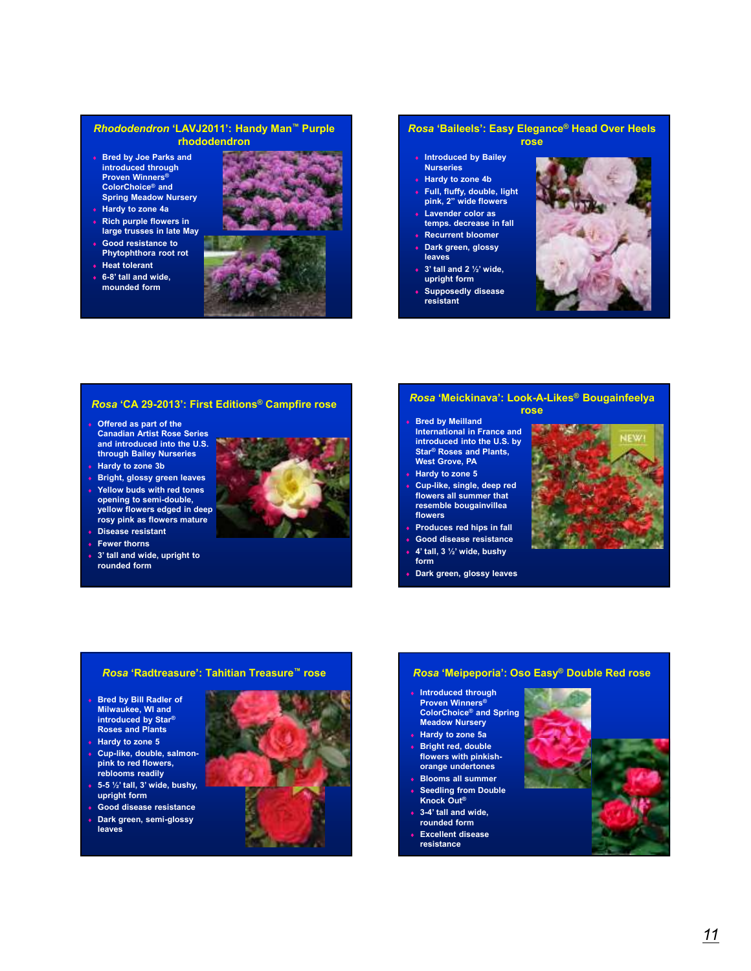#### *Rhododendron* **'LAVJ2011': Handy Man™ Purple rhododendron**

- ♦ **Bred by Joe Parks and introduced through Proven Winners® ColorChoice® and Spring Meadow Nursery**
- ♦ **Hardy to zone 4a**
- ♦ **Rich purple flowers in large trusses in late May**
- Good resistance to **Phytophthora root rot**
- **Heat tolerant**
- ♦ **6-8' tall and wide, mounded form**



#### *Rosa* **'Baileels': Easy Elegance® Head Over Heels rose**

- ♦ **Introduced by Bailey**
- **Nurseries** ♦ **Hardy to zone 4b**
- Full, fluffy, double, light **pink, 2" wide flowers**
- **Lavender color as**
- **temps. decrease in fall Recurrent bloomer**
- **Dark green, glossy leaves**
- ♦ **3' tall and 2 ½' wide, upright form**
- **Supposedly disease resistant**



#### *Rosa* **'CA 29-2013': First Editions® Campfire rose**

- **Offered as part of the Canadian Artist Rose Series and introduced into the U.S. through Bailey Nurseries Hardy to zone 3b**
- **Bright, glossy green leaves**
- **Yellow buds with red tones opening to semi-double, yellow flowers edged in deep rosy pink as flowers mature**
- **Disease resistant**
- **Fewer thorns**
- ♦ **3' tall and wide, upright to rounded form**

#### *Rosa* **'Meickinava': Look-A-Likes® Bougainfeelya rose**

- ♦ **Bred by Meilland International in France and introduced into the U.S. by Star® Roses and Plants, West Grove, PA**
- **Hardy to zone 5**
- Cup-like, single, deep red **flowers all summer that resemble bougainvillea flowers**
- Produces red hips in fall
- Good disease resistance
- ♦ **4' tall, 3 ½' wide, bushy form**
- **Dark green, glossy leaves**



#### *Rosa* **'Radtreasure': Tahitian Treasure™ rose**

- ♦ **Bred by Bill Radler of Milwaukee, WI and introduced by Star® Roses and Plants**
- ♦ **Hardy to zone 5**
- ♦ **Cup-like, double, salmonpink to red flowers, reblooms readily**
- ♦ **5-5 ½' tall, 3' wide, bushy, upright form** ♦ **Good disease resistance**
- **Dark green, semi-glossy leaves**



#### *Rosa* **'Meipeporia': Oso Easy® Double Red rose**

- **Introduced through Proven Winners® ColorChoice® and Spring Meadow Nursery**
- ♦ **Hardy to zone 5a**
- **Bright red, double flowers with pinkishorange undertones**
- **Blooms all summer**
- **Seedling from Double Knock Out®**
- 3-4' tall and wide, **rounded form**
- **Excellent disease**
- **resistance**

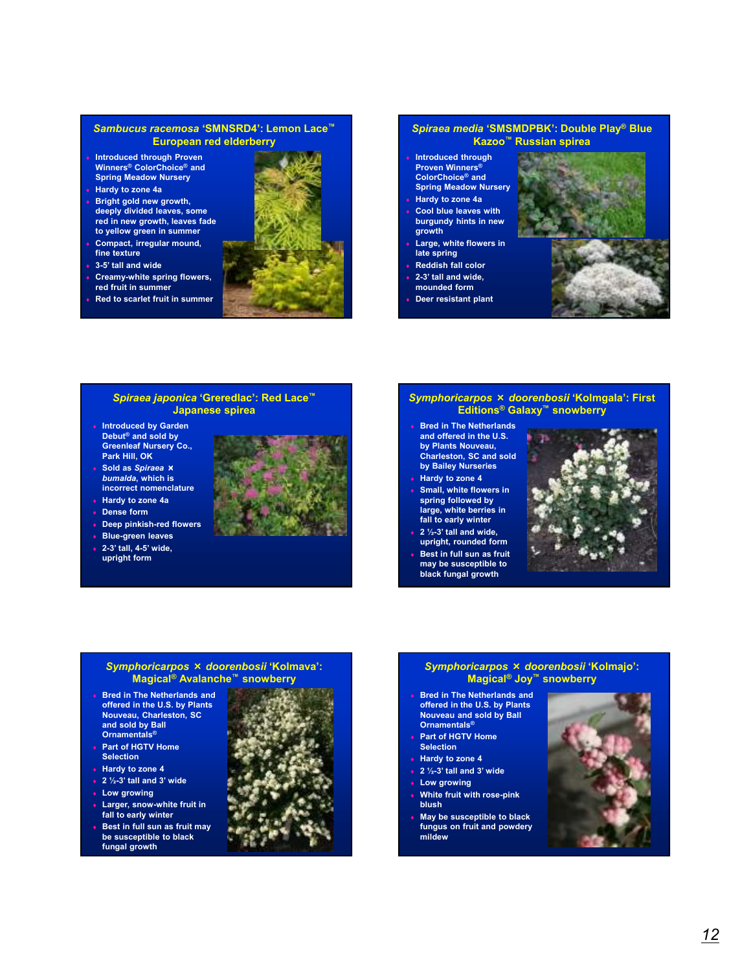#### *Sambucus racemosa* **'SMNSRD4': Lemon Lace™ European red elderberry**

- ♦ **Introduced through Proven Winners® ColorChoice® and Spring Meadow Nursery**
- ♦ **Hardy to zone 4a**
- **Bright gold new growth, deeply divided leaves, some red in new growth, leaves fade to yellow green in summer**
- Compact, irregular mound, **fine texture**
- 3-5' tall and wide
- **Creamy-white spring flowers,**
- **red fruit in summer Red to scarlet fruit in summer**



#### *Spiraea media* **'SMSMDPBK': Double Play® Blue Kazoo™ Russian spirea**

- **Introduced through Proven Winners® ColorChoice® and Spring Meadow Nursery**
- ♦ **Hardy to zone 4a Cool blue leaves with burgundy hints in new**
- **growth** Large, white flowers in **late spring**
- **Reddish fall color**
- 2-3' tall and wide,
- **mounded form**
- **Deer resistant plant**



#### *Spiraea japonica* **'Greredlac': Red Lace™ Japanese spirea**

- ♦ **Introduced by Garden Debut® and sold by Greenleaf Nursery Co., Park Hill, OK**
- ♦ **Sold as** *Spiraea* × *bumalda***, which is incorrect nomenclature**
- ♦ **Hardy to zone 4a**
- **Dense form**
- **Deep pinkish-red flowers**
- ♦ **Blue-green leaves** ♦ **2-3' tall, 4-5' wide,**
- **upright form**



# *Symphoricarpos* × *doorenbosii* **'Kolmgala': First Editions® Galaxy™ snowberry**

- ♦ **Bred in The Netherlands and offered in the U.S. by Plants Nouveau, Charleston, SC and sold by Bailey Nurseries**
- ♦ **Hardy to zone 4**
- **Small, white flowers in spring followed by large, white berries in fall to early winter**
- ♦ **2 ½-3' tall and wide, upright, rounded form**
- **Best in full sun as fruit may be susceptible to black fungal growth**



#### *Symphoricarpos* × *doorenbosii* **'Kolmava': Magical® Avalanche™ snowberry**

- ♦ **Bred in The Netherlands and offered in the U.S. by Plants Nouveau, Charleston, SC and sold by Ball Ornamentals®**
- ♦ **Part of HGTV Home Selection**
- ♦ **Hardy to zone 4**
- ♦ **2 ½-3' tall and 3' wide**
- **Low growing**
- ♦ **Larger, snow-white fruit in fall to early winter**
- **Best in full sun as fruit may be susceptible to black fungal growth**



#### *Symphoricarpos* × *doorenbosii* **'Kolmajo': Magical® Joy™ snowberry**

- **Bred in The Netherlands and offered in the U.S. by Plants Nouveau and sold by Ball Ornamentals®**
- **Part of HGTV Home Selection**
- ♦ **Hardy to zone 4**
- ♦ **2 ½-3' tall and 3' wide**
- **Low growing**
- **White fruit with rose-pink blush**
- ♦ **May be susceptible to black fungus on fruit and powdery mildew**

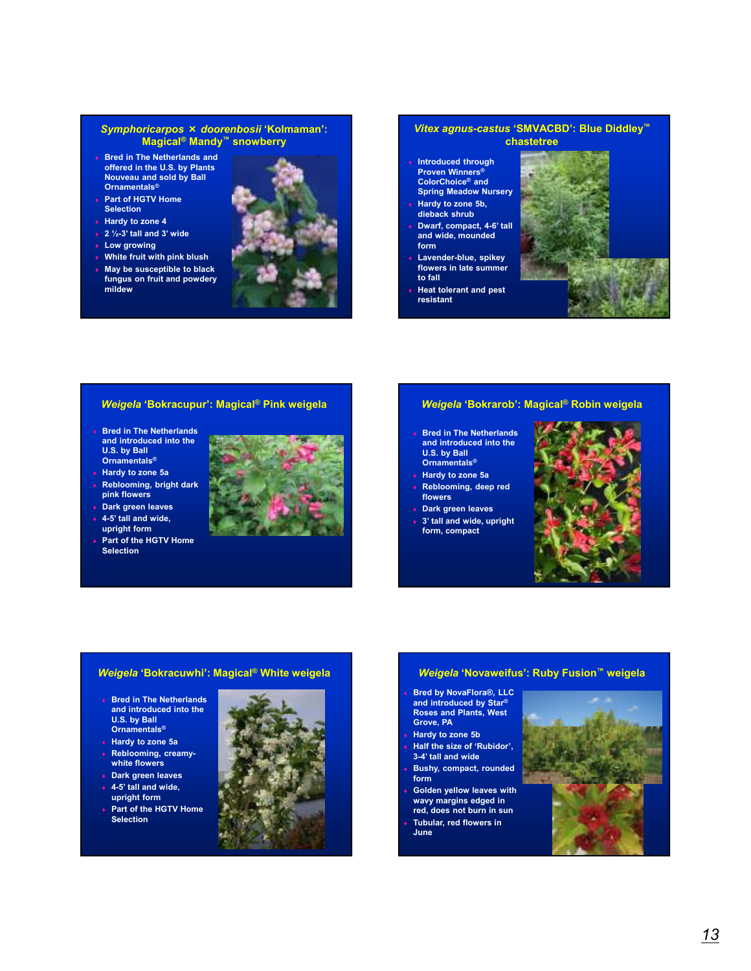#### *Symphoricarpos* × *doorenbosii* **'Kolmaman': Magical® Mandy™ snowberry**

- ♦ **Bred in The Netherlands and offered in the U.S. by Plants Nouveau and sold by Ball Ornamentals®**
- ♦ **Part of HGTV Home Selection**
- ♦ **Hardy to zone 4**
- ♦ **2 ½-3' tall and 3' wide**
- **Low growing**
- **White fruit with pink blush**
- **May be susceptible to black fungus on fruit and powdery mildew**



#### *Vitex agnus-castus* **'SMVACBD': Blue Diddley™ chastetree**

- ♦ **Introduced through Proven Winners® ColorChoice® and Spring Meadow Nursery**
- **Hardy to zone 5b, dieback shrub**
- Dwarf, compact, 4-6' tall **and wide, mounded form**
- Lavender-blue, spikey **flowers in late summer to fall**
- **Heat tolerant and pest resistant**



#### *Weigela* **'Bokracupur': Magical® Pink weigela**

- ♦ **Bred in The Netherlands and introduced into the U.S. by Ball Ornamentals®**
- ♦ **Hardy to zone 5a** ♦ **Reblooming, bright dark**
- **pink flowers** ♦ **Dark green leaves**
- ♦ **4-5' tall and wide, upright form**
- **Part of the HGTV Home Selection**



# *Weigela* **'Bokrarob': Magical® Robin weigela**

- ♦ **Bred in The Netherlands**
- **and introduced into the U.S. by Ball Ornamentals®**
- ♦ **Hardy to zone 5a Reblooming, deep red**
- **flowers**
- ♦ **Dark green leaves**
- $3'$  tall and wide, upright **form, compact**



#### *Weigela* **'Bokracuwhi': Magical® White weigela**

- ♦ **Bred in The Netherlands and introduced into the U.S. by Ball Ornamentals®**
- ♦ **Hardy to zone 5a**
- **Reblooming, creamywhite flowers**
- ♦ **Dark green leaves**
- ♦ **4-5' tall and wide, upright form**
- Part of the HGTV Home **Selection**



#### *Weigela* **'Novaweifus': Ruby Fusion™ weigela**

- **Bred by NovaFlora®, LLC and introduced by Star® Roses and Plants, West Grove, PA**
- **Hardy to zone 5b Half the size of 'Rubidor', 3-4' tall and wide**
- **Bushy, compact, rounded form**
- **Golden yellow leaves with wavy margins edged in red, does not burn in sun**
- **Tubular, red flowers in June**

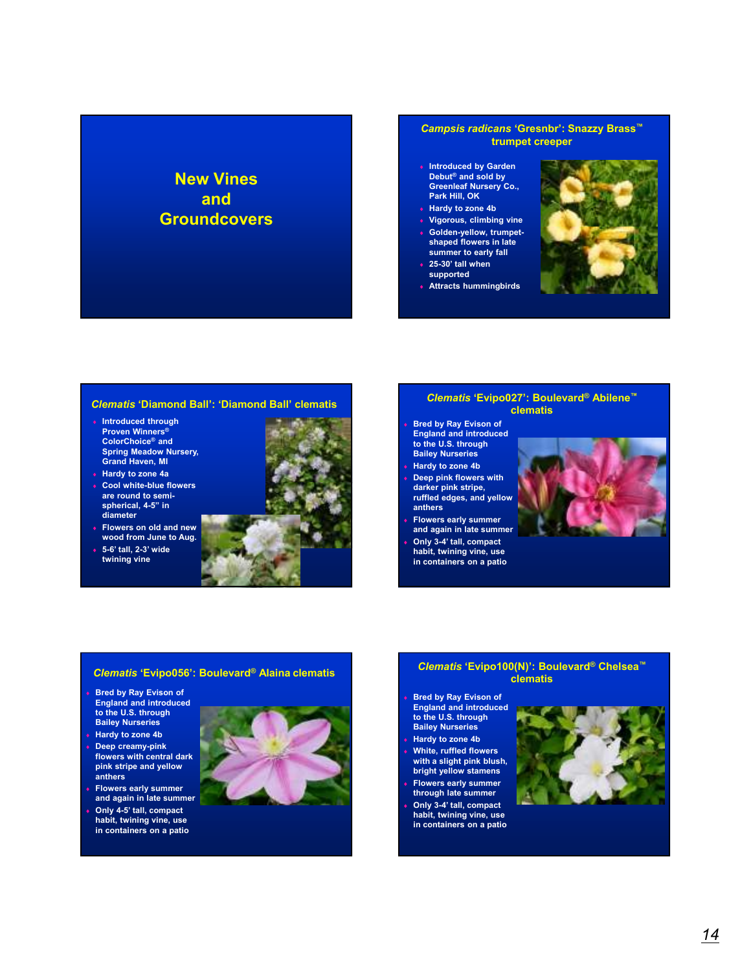# **New Vines and Groundcovers**

#### *Campsis radicans* **'Gresnbr': Snazzy Brass™ trumpet creeper**

- ♦ **Introduced by Garden Debut® and sold by Greenleaf Nursery Co., Park Hill, OK**
- ♦ **Hardy to zone 4b**
- **Vigorous, climbing vine** Golden-yellow, trumpet-
- **shaped flowers in late summer to early fall** ♦ **25-30' tall when**
- **supported**
- ♦ **Attracts hummingbirds**



#### *Clematis* **'Diamond Ball': 'Diamond Ball' clematis**

- ♦ **Introduced through Proven Winners® ColorChoice® and Spring Meadow Nursery, Grand Haven, MI**
- ♦ **Hardy to zone 4a** ♦ **Cool white-blue flowers are round to semispherical, 4-5" in diameter**
- ♦ **Flowers on old and new wood from June to Aug.**
- ♦ **5-6' tall, 2-3' wide twining vine**



#### *Clematis* **'Evipo027': Boulevard® Abilene™ clematis**

**Bred by Ray Evison of England and introduced to the U.S. through Bailey Nurseries**

- ♦ **Hardy to zone 4b**
- **Deep pink flowers with darker pink stripe, ruffled edges, and yellow**
- **anthers** ♦ **Flowers early summer**
- **and again in late summer** Only 3-4' tall, compact **habit, twining vine, use in containers on a patio**



#### *Clematis* **'Evipo056': Boulevard® Alaina clematis**

- **Bred by Ray Evison of England and introduced to the U.S. through Bailey Nurseries**
- ♦ **Hardy to zone 4b**
- ♦ **Deep creamy-pink flowers with central dark pink stripe and yellow anthers**
- **Flowers early summer and again in late summer** Only 4-5' tall, compact
- **habit, twining vine, use in containers on a patio**



#### *Clematis* **'Evipo100(N)': Boulevard® Chelsea™ clematis**

- **Bred by Ray Evison of England and introduced to the U.S. through Bailey Nurseries** ♦ **Hardy to zone 4b White, ruffled flowers**
- **with a slight pink blush, bright yellow stamens**
- **Flowers early summer through late summer**
- Only 3-4' tall, compact **habit, twining vine, use in containers on a patio**

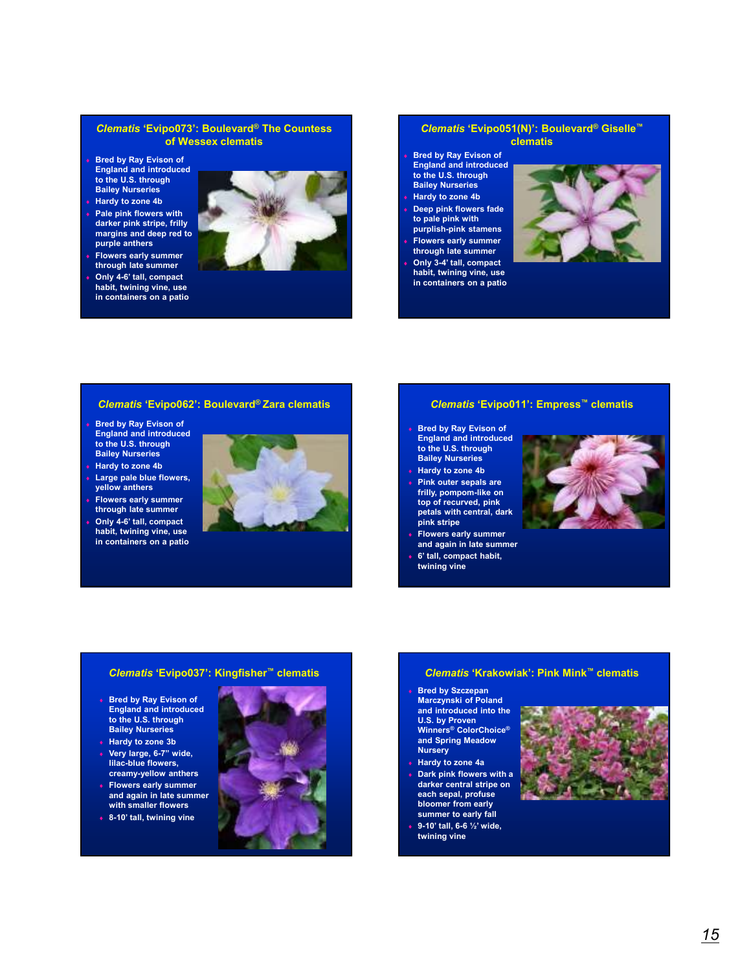#### *Clematis* **'Evipo073': Boulevard® The Countess of Wessex clematis**

- **Bred by Ray Evison of England and introduced to the U.S. through Bailey Nurseries**
- ♦ **Hardy to zone 4b**
- **Pale pink flowers with darker pink stripe, frilly margins and deep red to purple anthers**
- **Flowers early summer through late summer**
- Only 4-6' tall, compact **habit, twining vine, use in containers on a patio**



#### *Clematis* **'Evipo051(N)': Boulevard® Giselle™ clematis**

**Bred by Ray Evison of England and introduced to the U.S. through Bailey Nurseries** ♦ **Hardy to zone 4b Deep pink flowers fade to pale pink with purplish-pink stamens Flowers early summer through late summer** Only 3-4' tall, compact **habit, twining vine, use in containers on a patio**



#### *Clematis* **'Evipo062': Boulevard® Zara clematis**

- **Bred by Ray Evison of England and introduced to the U.S. through Bailey Nurseries**
- **Hardy to zone 4b**
- Large pale blue flowers, **yellow anthers**
- ♦ **Flowers early summer through late summer**
- Only 4-6' tall, compact **habit, twining vine, use in containers on a patio**



#### *Clematis* **'Evipo011': Empress™ clematis**

- ♦ **Bred by Ray Evison of England and introduced to the U.S. through Bailey Nurseries**
- ♦ **Hardy to zone 4b**
- **Pink outer sepals are frilly, pompom-like on top of recurved, pink petals with central, dark pink stripe**
- **Flowers early summer and again in late summer**
- 6' tall, compact habit, **twining vine**



#### *Clematis* **'Evipo037': Kingfisher™ clematis**

- **Bred by Ray Evison of England and introduced to the U.S. through Bailey Nurseries**
- ♦ **Hardy to zone 3b** ♦ **Very large, 6-7" wide, lilac-blue flowers, creamy-yellow anthers Flowers early summer**
- **and again in late summer with smaller flowers** ♦ **8-10' tall, twining vine**

#### *Clematis* **'Krakowiak': Pink Mink™ clematis**

- ♦ **Bred by Szczepan Marczynski of Poland and introduced into the U.S. by Proven Winners® ColorChoice® and Spring Meadow**
- **Nursery** ♦ **Hardy to zone 4a**
- **Dark pink flowers with a darker central stripe on each sepal, profuse bloomer from early summer to early fall**
- ♦ **9-10' tall, 6-6 ½' wide, twining vine**

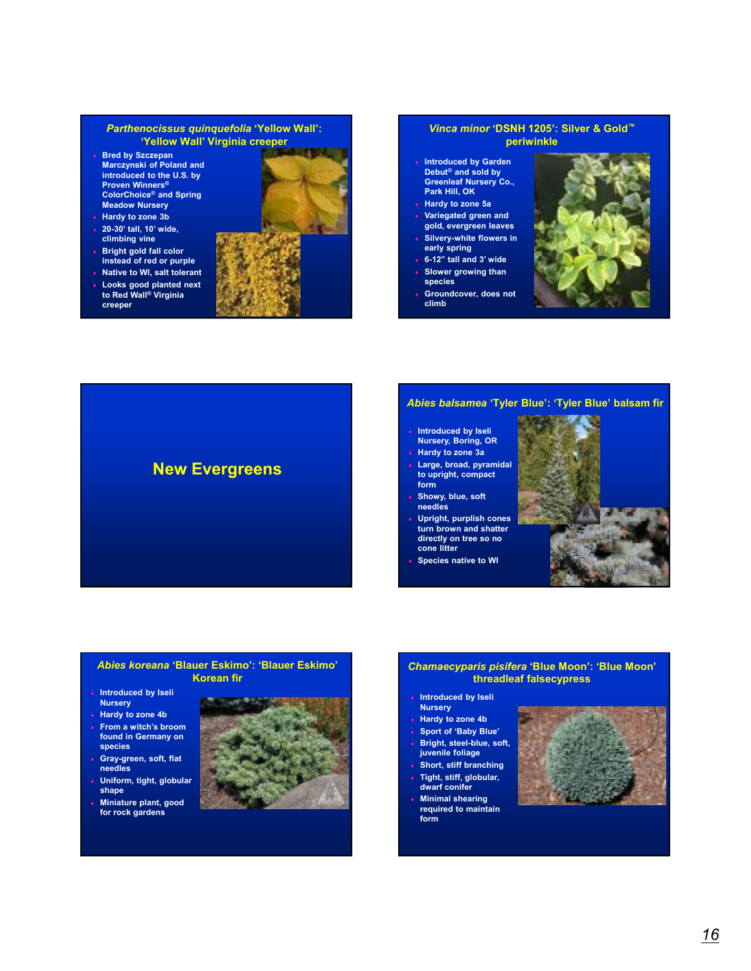#### *Parthenocissus quinquefolia* **'Yellow Wall': 'Yellow Wall' Virginia creeper**

- ♦ **Bred by Szczepan Marczynski of Poland and introduced to the U.S. by Proven Winners® ColorChoice® and Spring Meadow Nursery**
- ♦ **Hardy to zone 3b** ♦ **20-30' tall, 10' wide,**
- **climbing vine** ♦ **Bright gold fall color**
- **instead of red or purple** ♦ **Native to WI, salt tolerant**
- **Looks good planted next to Red Wall® Virginia creeper**



#### *Vinca minor* **'DSNH 1205': Silver & Gold™ periwinkle**

- **Introduced by Garden Debut® and sold by Greenleaf Nursery Co., Park Hill, OK**
- ♦ **Hardy to zone 5a**
- ♦ **Variegated green and gold, evergreen leaves**
- **Silvery-white flowers in early spring**
- ♦ **6-12" tall and 3' wide**
- **Slower growing than**
- **species**
- Groundcover, does not **climb**







# ♦ **Introduced by Iseli**

- **Nursery, Boring, OR** ♦ **Hardy to zone 3a**
- ♦ **Large, broad, pyramidal to upright, compact form**
- ♦ **Showy, blue, soft needles**
- Upright, purplish cones **turn brown and shatter**
- **directly on tree so no cone litter**
- ♦ **Species native to WI**



#### *Abies koreana* **'Blauer Eskimo': 'Blauer Eskimo' Korean fir**

- ♦ **Introduced by Iseli Nursery**
- ♦ **Hardy to zone 4b**
- ♦ **From a witch's broom found in Germany on species**
- ♦ **Gray-green, soft, flat needles**
- ♦ **Uniform, tight, globular shape**
- **Miniature plant, good for rock gardens**



#### *Chamaecyparis pisifera* **'Blue Moon': 'Blue Moon' threadleaf falsecypress**

- ♦ **Introduced by Iseli Nursery**
- ♦ **Hardy to zone 4b**
- Sport of 'Baby Blue'
- **Bright, steel-blue, soft, juvenile foliage**
- **Short, stiff branching Tight, stiff, globular, dwarf conifer**
- **Minimal shearing** 
	- **required to maintain form**

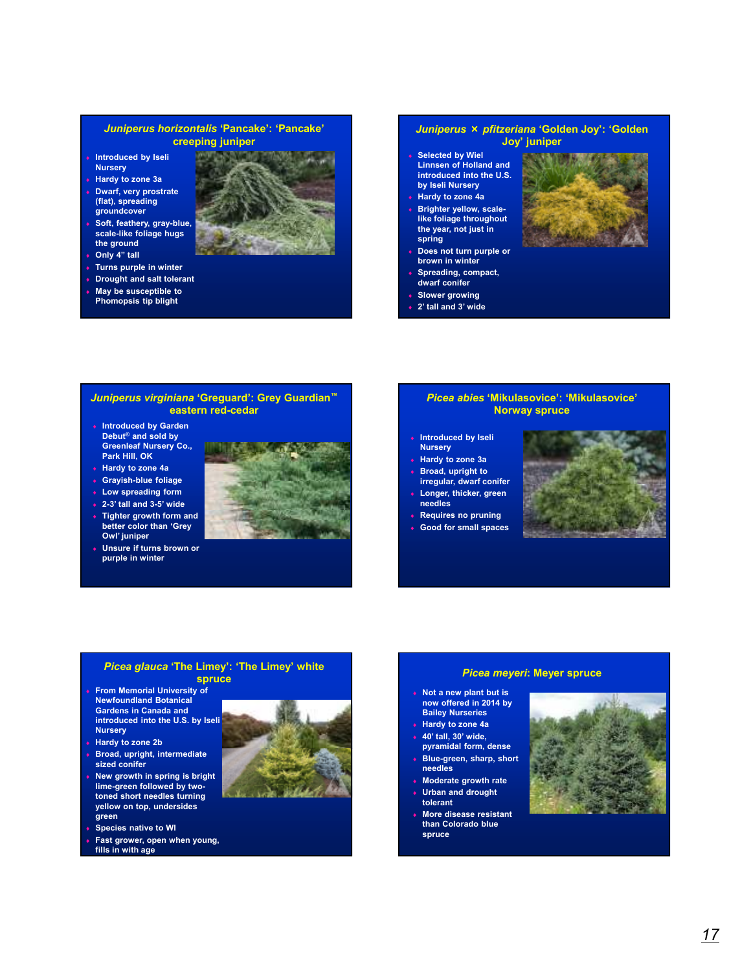#### *Juniperus horizontalis* **'Pancake': 'Pancake' creeping juniper**

- **Introduced by Iseli Nursery**
- ♦ **Hardy to zone 3a**
- ♦ **Dwarf, very prostrate (flat), spreading groundcover**
- ♦ **Soft, feathery, gray-blue, scale-like foliage hugs the ground**
- **Only 4" tall**
- **Turns purple in winter**
- **Drought and salt tolerant**
- ♦ **May be susceptible to Phomopsis tip blight**

#### *Juniperus* × *pfitzeriana* **'Golden Joy': 'Golden Joy' juniper**

- **Selected by Wiel Linnsen of Holland and introduced into the U.S. by Iseli Nursery**
- ♦ **Hardy to zone 4a** ♦ **Brighter yellow, scalelike foliage throughout the year, not just in spring**
- **Does not turn purple or brown in winter**
- Spreading, compact, **dwarf conifer**
- **Slower growing**
- 2' tall and 3' wide



#### *Juniperus virginiana* **'Greguard': Grey Guardian™ eastern red-cedar**

- ♦ **Introduced by Garden Debut® and sold by Greenleaf Nursery Co., Park Hill, OK**
- ♦ **Hardy to zone 4a**
- ♦ **Grayish-blue foliage**
- **Low spreading form**

**Owl' juniper**

♦ **2-3' tall and 3-5' wide** ♦ **Tighter growth form and better color than 'Grey** 



♦ **Unsure if turns brown or purple in winter**

### *Picea abies* **'Mikulasovice': 'Mikulasovice' Norway spruce**

- **Introduced by Iseli Nursery**
- ♦ **Hardy to zone 3a**
- Broad, upright to **irregular, dwarf conifer**
- Longer, thicker, green **needles**
- **Requires no pruning**
- **Good for small spaces**



#### *Picea glauca* **'The Limey': 'The Limey' white spruce**

- ♦ **From Memorial University of Newfoundland Botanical Gardens in Canada and introduced into the U.S. by Iseli Nursery**
- **Hardy to zone 2b**
- **Broad, upright, intermediate sized conifer**
- **New growth in spring is bright lime-green followed by twotoned short needles turning yellow on top, undersides green**
- **Species native to WI**
- Fast grower, open when young, **fills in with age**



#### *Picea meyeri***: Meyer spruce**

- ♦ **Not a new plant but is now offered in 2014 by Bailey Nurseries** ♦ **Hardy to zone 4a**
- ♦ **40' tall, 30' wide, pyramidal form, dense**
- ♦ **Blue-green, sharp, short needles**
- **Moderate growth rate**
- **Urban and drought tolerant**
- **More disease resistant than Colorado blue spruce**

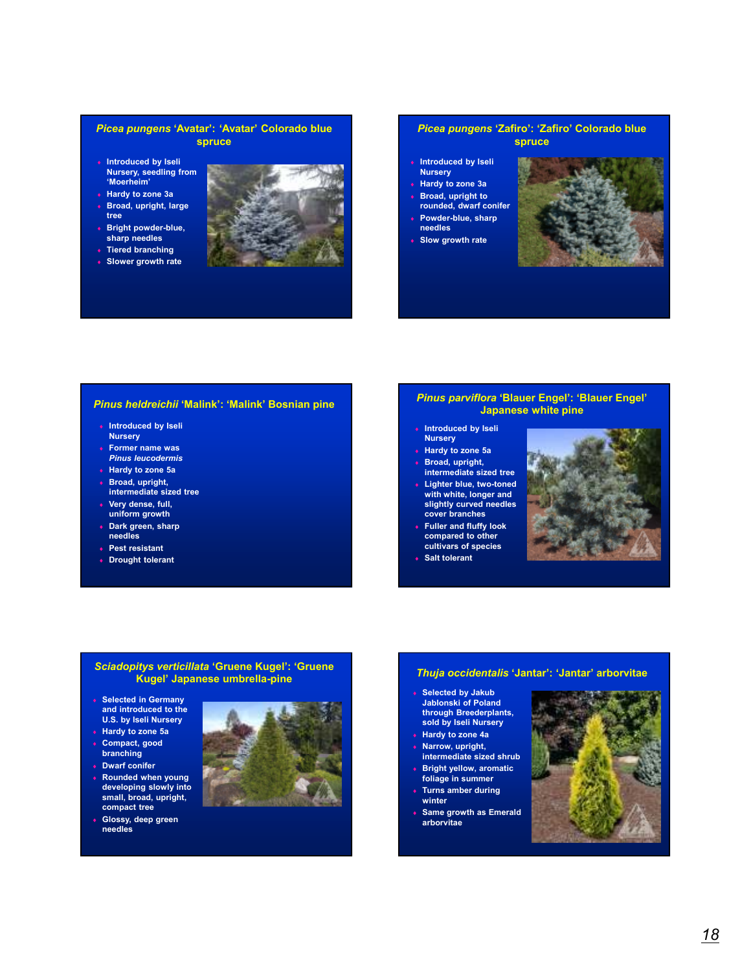#### *Picea pungens* **'Avatar': 'Avatar' Colorado blue spruce**

- ♦ **Introduced by Iseli Nursery, seedling from 'Moerheim'**
- **Hardy to zone 3a**
- Broad, upright, large **tree**
- **Bright powder-blue, sharp needles**
- ♦ **Tiered branching**
- ♦ **Slower growth rate**



#### *Picea pungens* **'Zafiro': 'Zafiro' Colorado blue spruce**

- **Introduced by Iseli**
- 
- **Broad, upright to**
- **rounded, dwarf conifer** Powder-blue, sharp
- **needles**
- ♦ **Slow growth rate**



#### *Pinus heldreichii* **'Malink': 'Malink' Bosnian pine**

- **Introduced by Iseli Nursery**
- ♦ **Former name was**
- *Pinus leucodermis* ♦ **Hardy to zone 5a**
- Broad, upright,
- **intermediate sized tree**
- Very dense, full, **uniform growth**
- ♦ **Dark green, sharp needles**
- ♦ **Pest resistant**
- ♦ **Drought tolerant**

#### *Pinus parviflora* **'Blauer Engel': 'Blauer Engel' Japanese white pine**

- **Introduced by Iseli**
- **Nursery** ♦ **Hardy to zone 5a**
- Broad, upright,
- **intermediate sized tree Lighter blue, two-toned**
- **with white, longer and slightly curved needles cover branches**
- **Fuller and fluffy look compared to other cultivars of species**
- **Salt tolerant**



#### *Sciadopitys verticillata* **'Gruene Kugel': 'Gruene Kugel' Japanese umbrella-pine**

- ♦ **Selected in Germany and introduced to the U.S. by Iseli Nursery**
- ♦ **Hardy to zone 5a** ♦ **Compact, good**
- **branching**
- ♦ **Dwarf conifer**
- ♦ **Rounded when young developing slowly into small, broad, upright, compact tree**
- ♦ **Glossy, deep green needles**



#### *Thuja occidentalis* **'Jantar': 'Jantar' arborvitae**

- **Selected by Jakub Jablonski of Poland through Breederplants, sold by Iseli Nursery**
- ♦ **Hardy to zone 4a**
- Narrow, upright, **intermediate sized shrub Bright yellow, aromatic**
- **foliage in summer**
- **Turns amber during winter**
- **Same growth as Emerald arborvitae**



# **Nursery Hardy to zone 3a**